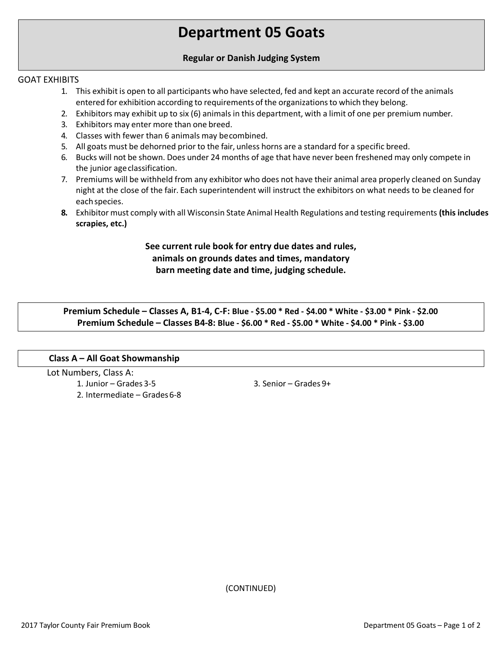# **Department 05 Goats**

#### **Regular or Danish Judging System**

#### GOAT EXHIBITS

- 1. This exhibit is open to all participants who have selected, fed and kept an accurate record of the animals entered for exhibition according to requirements of the organizationsto which they belong.
- 2. Exhibitors may exhibit up to six (6) animals in this department, with a limit of one per premium number.
- 3. Exhibitors may enter more than one breed.
- 4. Classes with fewer than 6 animals may becombined.
- 5. All goats must be dehorned prior to the fair, unless horns are a standard for a specific breed.
- 6. Bucks will not be shown. Does under 24 months of age that have never been freshened may only compete in the junior ageclassification.
- 7. Premiums will be withheld from any exhibitor who does not have their animal area properly cleaned on Sunday night at the close of the fair. Each superintendent will instruct the exhibitors on what needs to be cleaned for eachspecies.
- **8.** Exhibitor must comply with all Wisconsin State Animal Health Regulations and testing requirements **(this includes scrapies, etc.)**

## **See current rule book for entry due dates and rules, animals on grounds dates and times, mandatory barn meeting date and time, judging schedule.**

**Premium Schedule – Classes A, B1-4, C-F: Blue - \$5.00 \* Red - \$4.00 \* White - \$3.00 \* Pink - \$2.00 Premium Schedule – Classes B4-8: Blue - \$6.00 \* Red - \$5.00 \* White - \$4.00 \* Pink - \$3.00**

#### **Class A – All Goat Showmanship**

Lot Numbers, Class A: 1. Junior – Grades 3-5 2. Intermediate – Grades6-8

3. Senior – Grades 9+

(CONTINUED)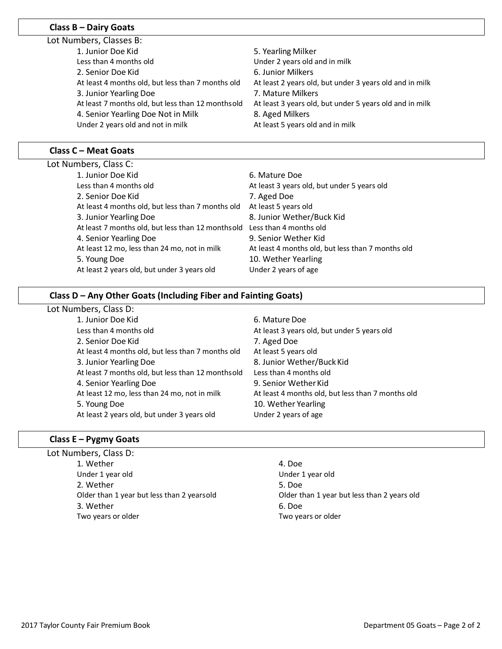## **Class B – Dairy Goats**

**Class C – Meat Goats**

| 5. Yearling Milker                                                                                           |  |
|--------------------------------------------------------------------------------------------------------------|--|
| Under 2 years old and in milk                                                                                |  |
| 6. Junior Milkers                                                                                            |  |
| At least 2 years old, but under 3 years old and in milk                                                      |  |
| 7. Mature Milkers                                                                                            |  |
| At least 7 months old, but less than 12 monthsold<br>At least 3 years old, but under 5 years old and in milk |  |
| 8. Aged Milkers                                                                                              |  |
| At least 5 years old and in milk                                                                             |  |
|                                                                                                              |  |
|                                                                                                              |  |

| Lot Numbers, Class C:                             |                                                   |
|---------------------------------------------------|---------------------------------------------------|
| 1. Junior Doe Kid                                 | 6. Mature Doe                                     |
| Less than 4 months old                            | At least 3 years old, but under 5 years old       |
| 2. Senior Doe Kid                                 | 7. Aged Doe                                       |
| At least 4 months old, but less than 7 months old | At least 5 years old                              |
| 3. Junior Yearling Doe                            | 8. Junior Wether/Buck Kid                         |
| At least 7 months old, but less than 12 monthsold | Less than 4 months old                            |
| 4. Senior Yearling Doe                            | 9. Senior Wether Kid                              |
| At least 12 mo, less than 24 mo, not in milk      | At least 4 months old, but less than 7 months old |
| 5. Young Doe                                      | 10. Wether Yearling                               |
| At least 2 years old, but under 3 years old       | Under 2 years of age                              |
|                                                   |                                                   |

#### **Class D – Any Other Goats (Including Fiber and Fainting Goats)**

Lot Numbers, Class D:

- 1. Junior Doe Kid Less than 4 months old 2. Senior Doe Kid At least 4 months old, but less than 7 months old 3. Junior Yearling Doe At least 7 months old, but less than 12 monthsold 4. Senior Yearling Doe At least 12 mo, less than 24 mo, not in milk 5. Young Doe At least 2 years old, but under 3 years old
- 6. Mature Doe At least 3 years old, but under 5 years old 7. Aged Doe At least 5 years old 8. Junior Wether/Buck Kid Less than 4 months old 9. Senior Wether Kid At least 4 months old, but less than 7 months old 10. Wether Yearling Under 2 years of age

#### **Class E – Pygmy Goats**

Lot Numbers, Class D: 1. Wether 4. Doe Under 1 year old Under 1 year old 2. Wether 5. Doe 3. Wether 6. Doe Two years or older Two years or older

Older than 1 year but less than 2 yearsold Older than 1 year but less than 2 years old